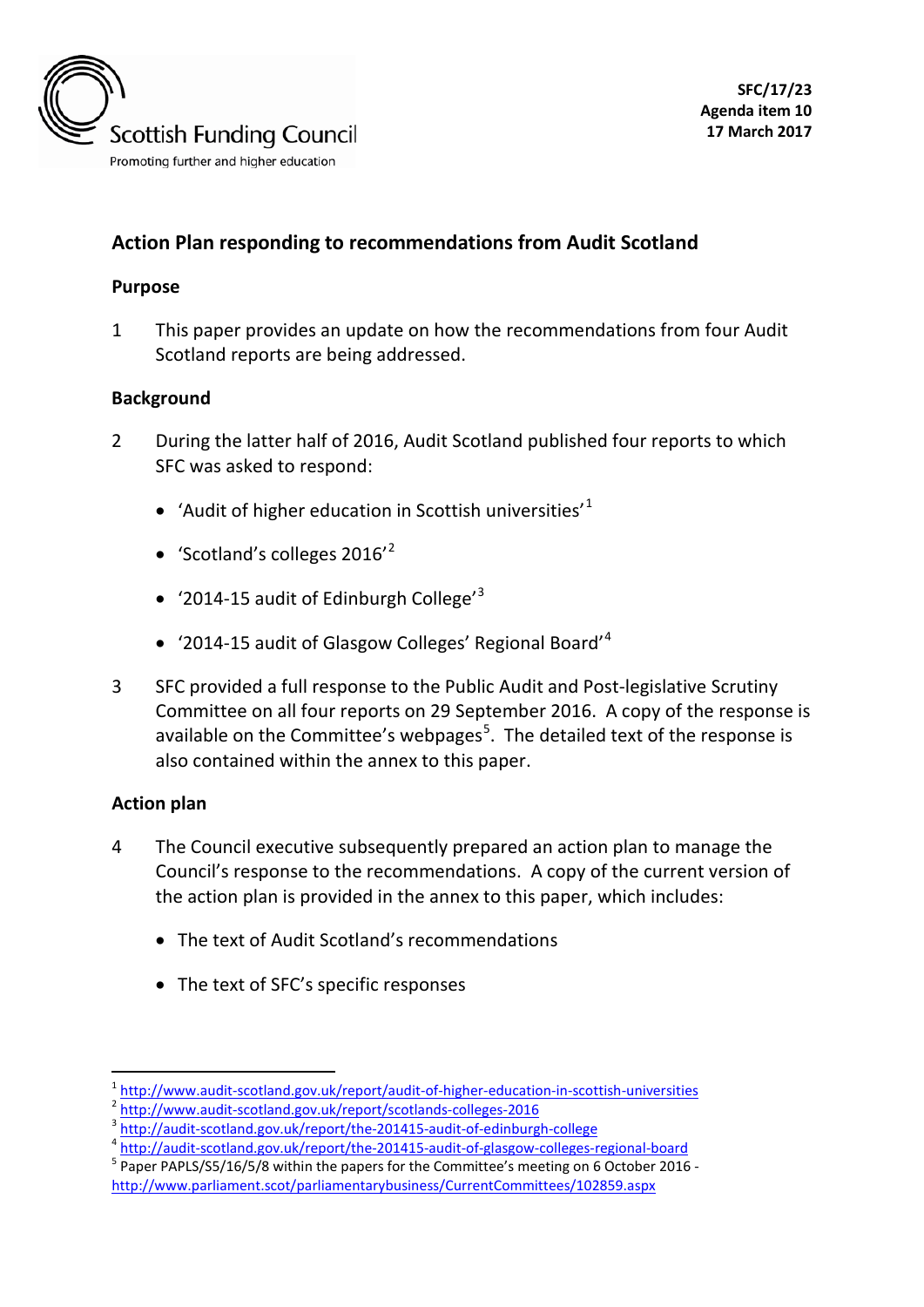

# **Action Plan responding to recommendations from Audit Scotland**

#### **Purpose**

1 This paper provides an update on how the recommendations from four Audit Scotland reports are being addressed.

### **Background**

- 2 During the latter half of 2016, Audit Scotland published four reports to which SFC was asked to respond:
	- 'Audit of higher education in Scottish universities'<sup>[1](#page-0-0)</sup>
	- 'Scotland's colleges  $2016<sup>2</sup>$  $2016<sup>2</sup>$
	- '2014-15 audit of Edinburgh College'<sup>[3](#page-0-2)</sup>
	- '2014-15 audit of Glasgow Colleges' Regional Board'[4](#page-0-3)
- 3 SFC provided a full response to the Public Audit and Post-legislative Scrutiny Committee on all four reports on 29 September 2016. A copy of the response is available on the Committee's webpages<sup>[5](#page-0-4)</sup>. The detailed text of the response is also contained within the annex to this paper.

#### **Action plan**

- 4 The Council executive subsequently prepared an action plan to manage the Council's response to the recommendations. A copy of the current version of the action plan is provided in the annex to this paper, which includes:
	- The text of Audit Scotland's recommendations
	- The text of SFC's specific responses

<span id="page-0-0"></span> $\frac{1 \text{ http://www.audit-scotland.gov.uk/report/audit-of-higner-eduction-in-scottish-universities}}{\frac{2 \text{ http://www.audit-scotland.gov.uk/report/scotlands-colleges-2016}}{\frac{2 \text{ http://audit-scotland.gov.uk/report/the-201415-audit-of-edinburgh-college}}{\frac{4 \text{ http://audit-scotland.gov.uk/report/the-201415-audit-of-edinburgh-college}}{\frac{2 \text{http://audit-scotland.gov.uk/report/the-201415-audit-of-glassow-colleges-regional-board}}{\frac{2 \text{1415-eudit-of-glassgow-colleges-regional$  $\frac{1 \text{ http://www.audit-scotland.gov.uk/report/audit-of-higner-eduction-in-scottish-universities}}{\frac{2 \text{ http://www.audit-scotland.gov.uk/report/scotlands-colleges-2016}}{\frac{2 \text{ http://audit-scotland.gov.uk/report/the-201415-audit-of-edinburgh-college}}{\frac{4 \text{ http://audit-scotland.gov.uk/report/the-201415-audit-of-edinburgh-college}}{\frac{2 \text{http://audit-scotland.gov.uk/report/the-201415-audit-of-glassow-colleges-regional-board}}{\frac{2 \text{1415-eudit-of-glassgow-colleges-regional$  $\frac{1 \text{ http://www.audit-scotland.gov.uk/report/audit-of-higner-eduction-in-scottish-universities}}{\frac{2 \text{ http://www.audit-scotland.gov.uk/report/scotlands-colleges-2016}}{\frac{2 \text{ http://audit-scotland.gov.uk/report/the-201415-audit-of-edinburgh-college}}{\frac{4 \text{ http://audit-scotland.gov.uk/report/the-201415-audit-of-edinburgh-college}}{\frac{2 \text{http://audit-scotland.gov.uk/report/the-201415-audit-of-glassow-colleges-regional-board}}{\frac{2 \text{1415-eudit-of-glassgow-colleges-regional$  $\frac{1 \text{ http://www.audit-scotland.gov.uk/report/audit-of-higner-eduction-in-scottish-universities}}{\frac{2 \text{ http://www.audit-scotland.gov.uk/report/scotlands-colleges-2016}}{\frac{2 \text{ http://audit-scotland.gov.uk/report/the-201415-audit-of-edinburgh-college}}{\frac{4 \text{ http://audit-scotland.gov.uk/report/the-201415-audit-of-edinburgh-college}}{\frac{2 \text{http://audit-scotland.gov.uk/report/the-201415-audit-of-glassow-colleges-regional-board}}{\frac{2 \text{1415-eudit-of-glassgow-colleges-regional$  $\frac{1 \text{ http://www.audit-scotland.gov.uk/report/audit-of-higner-eduction-in-scottish-universities}}{\frac{2 \text{ http://www.audit-scotland.gov.uk/report/scotlands-colleges-2016}}{\frac{2 \text{ http://audit-scotland.gov.uk/report/the-201415-audit-of-edinburgh-college}}{\frac{4 \text{ http://audit-scotland.gov.uk/report/the-201415-audit-of-edinburgh-college}}{\frac{2 \text{http://audit-scotland.gov.uk/report/the-201415-audit-of-glassow-colleges-regional-board}}{\frac{2 \text{1415-eudit-of-glassgow-colleges-regional$ 

<span id="page-0-1"></span>

<span id="page-0-2"></span>

<span id="page-0-3"></span>

<span id="page-0-4"></span><http://www.parliament.scot/parliamentarybusiness/CurrentCommittees/102859.aspx>